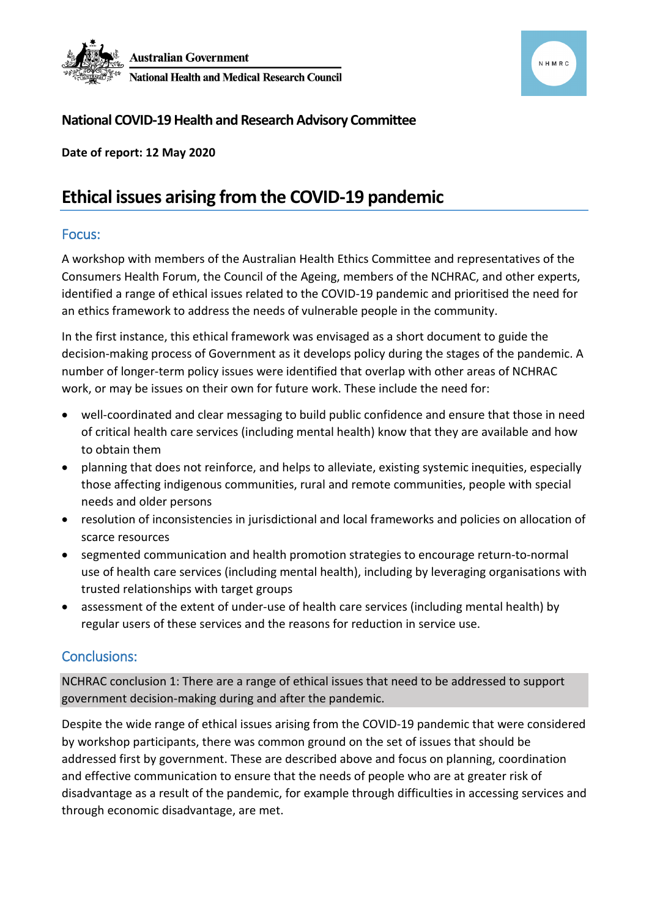



# **National COVID-19 Health and Research Advisory Committee**

**Date of report: 12 May 2020**

# **Ethical issues arising from the COVID-19 pandemic**

### Focus:

A workshop with members of the Australian Health Ethics Committee and representatives of the Consumers Health Forum, the Council of the Ageing, members of the NCHRAC, and other experts, identified a range of ethical issues related to the COVID-19 pandemic and prioritised the need for an ethics framework to address the needs of vulnerable people in the community.

In the first instance, this ethical framework was envisaged as a short document to guide the decision-making process of Government as it develops policy during the stages of the pandemic. A number of longer-term policy issues were identified that overlap with other areas of NCHRAC work, or may be issues on their own for future work. These include the need for:

- well-coordinated and clear messaging to build public confidence and ensure that those in need of critical health care services (including mental health) know that they are available and how to obtain them
- planning that does not reinforce, and helps to alleviate, existing systemic inequities, especially those affecting indigenous communities, rural and remote communities, people with special needs and older persons
- resolution of inconsistencies in jurisdictional and local frameworks and policies on allocation of scarce resources
- segmented communication and health promotion strategies to encourage return-to-normal use of health care services (including mental health), including by leveraging organisations with trusted relationships with target groups
- assessment of the extent of under-use of health care services (including mental health) by regular users of these services and the reasons for reduction in service use.

# Conclusions:

NCHRAC conclusion 1: There are a range of ethical issues that need to be addressed to support government decision-making during and after the pandemic.

Despite the wide range of ethical issues arising from the COVID-19 pandemic that were considered by workshop participants, there was common ground on the set of issues that should be addressed first by government. These are described above and focus on planning, coordination and effective communication to ensure that the needs of people who are at greater risk of disadvantage as a result of the pandemic, for example through difficulties in accessing services and through economic disadvantage, are met.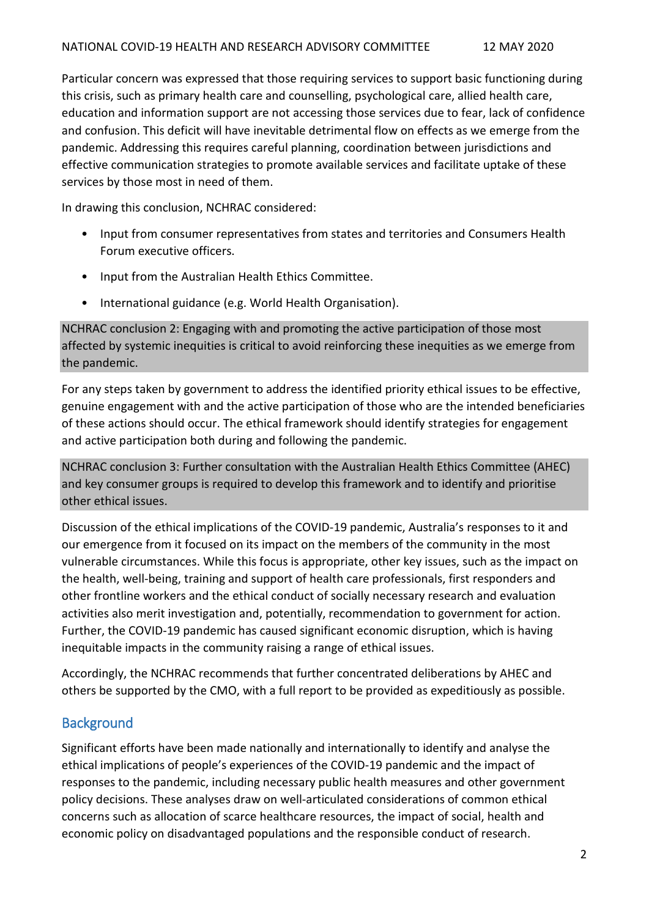Particular concern was expressed that those requiring services to support basic functioning during this crisis, such as primary health care and counselling, psychological care, allied health care, education and information support are not accessing those services due to fear, lack of confidence and confusion. This deficit will have inevitable detrimental flow on effects as we emerge from the pandemic. Addressing this requires careful planning, coordination between jurisdictions and effective communication strategies to promote available services and facilitate uptake of these services by those most in need of them.

In drawing this conclusion, NCHRAC considered:

- Input from consumer representatives from states and territories and Consumers Health Forum executive officers.
- Input from the Australian Health Ethics Committee.
- International guidance (e.g. World Health Organisation).

NCHRAC conclusion 2: Engaging with and promoting the active participation of those most affected by systemic inequities is critical to avoid reinforcing these inequities as we emerge from the pandemic.

For any steps taken by government to address the identified priority ethical issues to be effective, genuine engagement with and the active participation of those who are the intended beneficiaries of these actions should occur. The ethical framework should identify strategies for engagement and active participation both during and following the pandemic.

NCHRAC conclusion 3: Further consultation with the Australian Health Ethics Committee (AHEC) and key consumer groups is required to develop this framework and to identify and prioritise other ethical issues.

Discussion of the ethical implications of the COVID-19 pandemic, Australia's responses to it and our emergence from it focused on its impact on the members of the community in the most vulnerable circumstances. While this focus is appropriate, other key issues, such as the impact on the health, well-being, training and support of health care professionals, first responders and other frontline workers and the ethical conduct of socially necessary research and evaluation activities also merit investigation and, potentially, recommendation to government for action. Further, the COVID-19 pandemic has caused significant economic disruption, which is having inequitable impacts in the community raising a range of ethical issues.

Accordingly, the NCHRAC recommends that further concentrated deliberations by AHEC and others be supported by the CMO, with a full report to be provided as expeditiously as possible.

# **Background**

Significant efforts have been made nationally and internationally to identify and analyse the ethical implications of people's experiences of the COVID-19 pandemic and the impact of responses to the pandemic, including necessary public health measures and other government policy decisions. These analyses draw on well-articulated considerations of common ethical concerns such as allocation of scarce healthcare resources, the impact of social, health and economic policy on disadvantaged populations and the responsible conduct of research.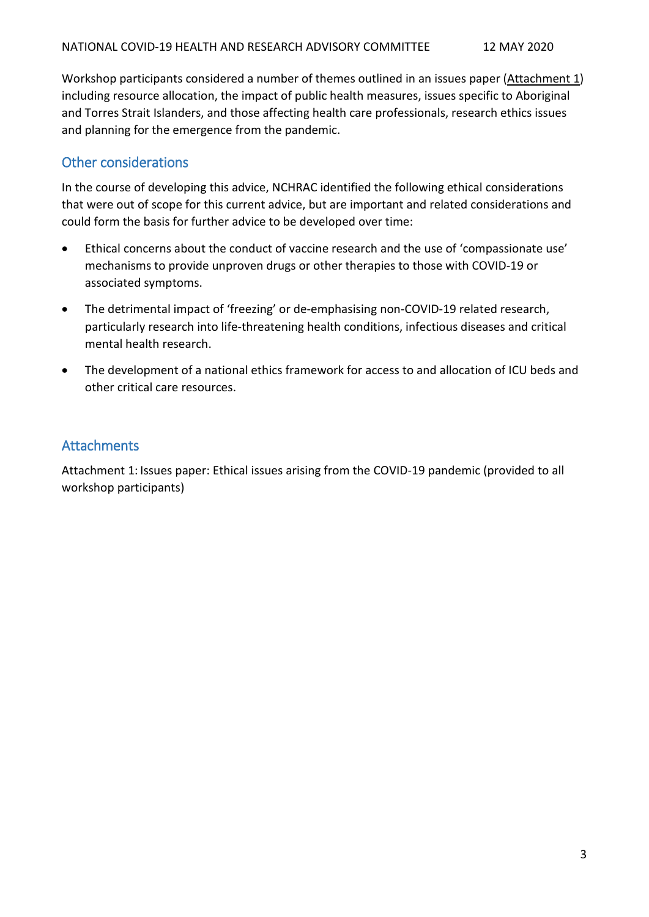Workshop participants considered a number of themes outlined in an issues paper (Attachment 1) including resource allocation, the impact of public health measures, issues specific to Aboriginal and Torres Strait Islanders, and those affecting health care professionals, research ethics issues and planning for the emergence from the pandemic.

# Other considerations

In the course of developing this advice, NCHRAC identified the following ethical considerations that were out of scope for this current advice, but are important and related considerations and could form the basis for further advice to be developed over time:

- Ethical concerns about the conduct of vaccine research and the use of 'compassionate use' mechanisms to provide unproven drugs or other therapies to those with COVID-19 or associated symptoms.
- The detrimental impact of 'freezing' or de-emphasising non-COVID-19 related research, particularly research into life-threatening health conditions, infectious diseases and critical mental health research.
- The development of a national ethics framework for access to and allocation of ICU beds and other critical care resources.

# **Attachments**

Attachment 1: Issues paper: Ethical issues arising from the COVID-19 pandemic (provided to all workshop participants)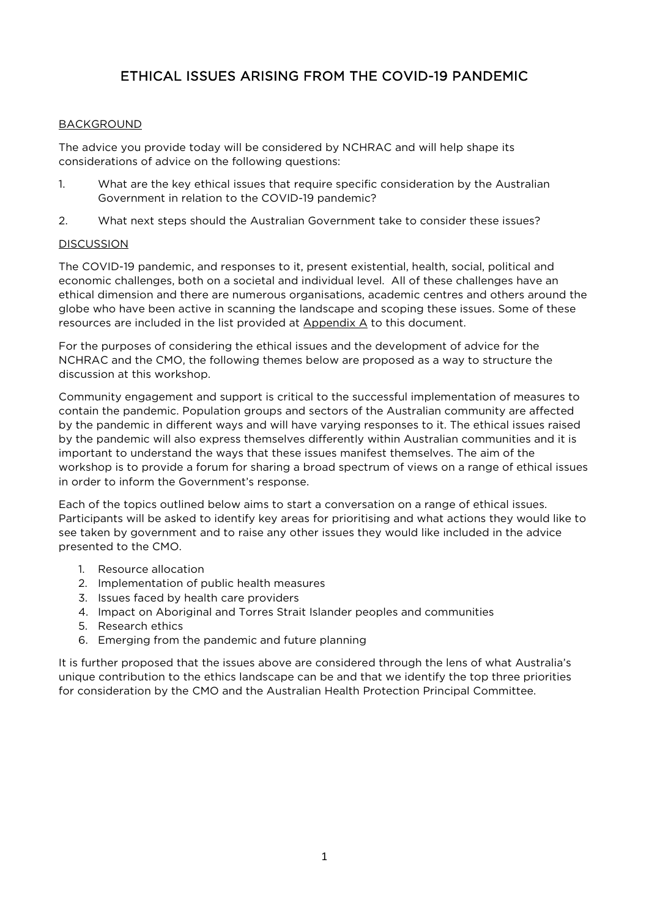# ETHICAL ISSUES ARISING FROM THE COVID-19 PANDEMIC

#### **BACKGROUND**

The advice you provide today will be considered by NCHRAC and will help shape its considerations of advice on the following questions:

- 1. What are the key ethical issues that require specific consideration by the Australian Government in relation to the COVID-19 pandemic?
- 2. What next steps should the Australian Government take to consider these issues?

#### **DISCUSSION**

The COVID-19 pandemic, and responses to it, present existential, health, social, political and economic challenges, both on a societal and individual level. All of these challenges have an ethical dimension and there are numerous organisations, academic centres and others around the globe who have been active in scanning the landscape and scoping these issues. Some of these resources are included in the list provided at Appendix A to this document.

For the purposes of considering the ethical issues and the development of advice for the NCHRAC and the CMO, the following themes below are proposed as a way to structure the discussion at this workshop.

Community engagement and support is critical to the successful implementation of measures to contain the pandemic. Population groups and sectors of the Australian community are affected by the pandemic in different ways and will have varying responses to it. The ethical issues raised by the pandemic will also express themselves differently within Australian communities and it is important to understand the ways that these issues manifest themselves. The aim of the workshop is to provide a forum for sharing a broad spectrum of views on a range of ethical issues in order to inform the Government's response.

Each of the topics outlined below aims to start a conversation on a range of ethical issues. Participants will be asked to identify key areas for prioritising and what actions they would like to see taken by government and to raise any other issues they would like included in the advice presented to the CMO.

- 1. Resource allocation
- 2. Implementation of public health measures
- 3. Issues faced by health care providers
- 4. Impact on Aboriginal and Torres Strait Islander peoples and communities
- 5. Research ethics
- 6. Emerging from the pandemic and future planning

It is further proposed that the issues above are considered through the lens of what Australia's unique contribution to the ethics landscape can be and that we identify the top three priorities for consideration by the CMO and the Australian Health Protection Principal Committee.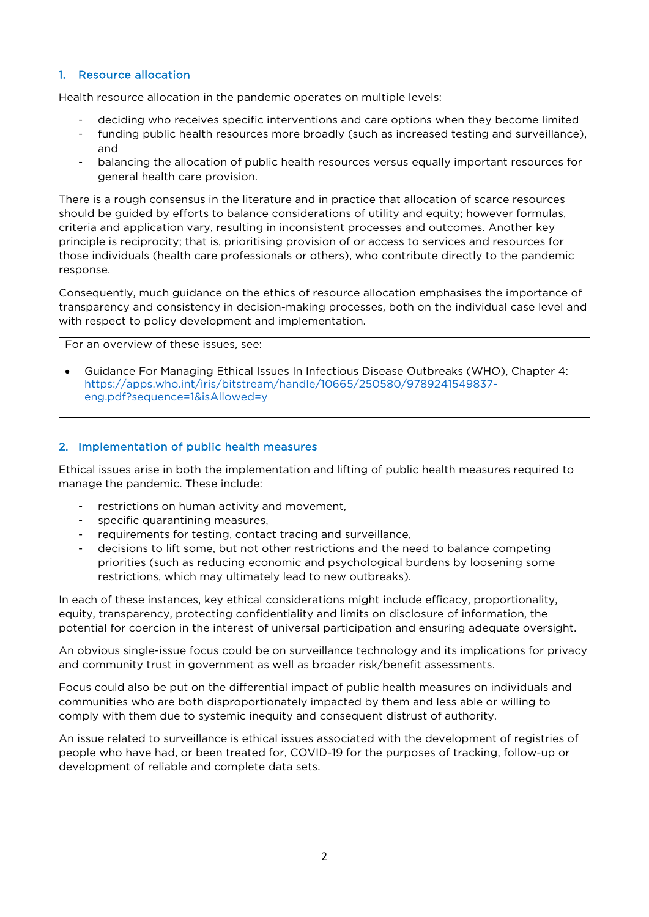#### 1. Resource allocation

Health resource allocation in the pandemic operates on multiple levels:

- deciding who receives specific interventions and care options when they become limited
- funding public health resources more broadly (such as increased testing and surveillance), and
- balancing the allocation of public health resources versus equally important resources for general health care provision.

There is a rough consensus in the literature and in practice that allocation of scarce resources should be guided by efforts to balance considerations of utility and equity; however formulas, criteria and application vary, resulting in inconsistent processes and outcomes. Another key principle is reciprocity; that is, prioritising provision of or access to services and resources for those individuals (health care professionals or others), who contribute directly to the pandemic response.

Consequently, much guidance on the ethics of resource allocation emphasises the importance of transparency and consistency in decision-making processes, both on the individual case level and with respect to policy development and implementation.

For an overview of these issues, see:

• Guidance For Managing Ethical Issues In Infectious Disease Outbreaks (WHO), Chapter 4: [https://apps.who.int/iris/bitstream/handle/10665/250580/9789241549837](https://apps.who.int/iris/bitstream/handle/10665/250580/9789241549837-eng.pdf?sequence=1&isAllowed=y) [eng.pdf?sequence=1&isAllowed=y](https://apps.who.int/iris/bitstream/handle/10665/250580/9789241549837-eng.pdf?sequence=1&isAllowed=y)

#### 2. Implementation of public health measures

Ethical issues arise in both the implementation and lifting of public health measures required to manage the pandemic. These include:

- restrictions on human activity and movement,
- specific quarantining measures,
- requirements for testing, contact tracing and surveillance,
- decisions to lift some, but not other restrictions and the need to balance competing priorities (such as reducing economic and psychological burdens by loosening some restrictions, which may ultimately lead to new outbreaks).

In each of these instances, key ethical considerations might include efficacy, proportionality, equity, transparency, protecting confidentiality and limits on disclosure of information, the potential for coercion in the interest of universal participation and ensuring adequate oversight.

An obvious single-issue focus could be on surveillance technology and its implications for privacy and community trust in government as well as broader risk/benefit assessments.

Focus could also be put on the differential impact of public health measures on individuals and communities who are both disproportionately impacted by them and less able or willing to comply with them due to systemic inequity and consequent distrust of authority.

An issue related to surveillance is ethical issues associated with the development of registries of people who have had, or been treated for, COVID-19 for the purposes of tracking, follow-up or development of reliable and complete data sets.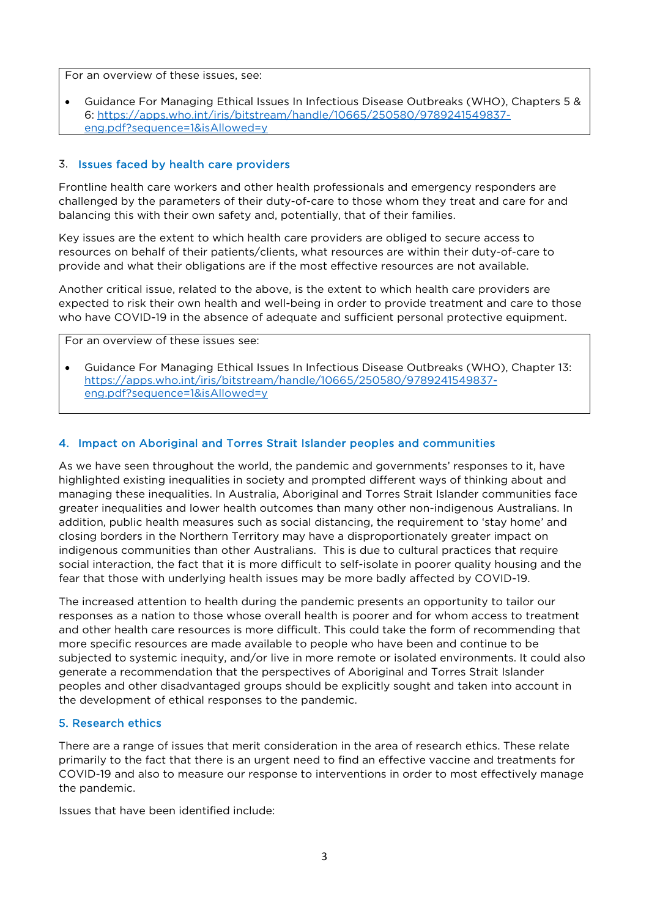For an overview of these issues, see:

• Guidance For Managing Ethical Issues In Infectious Disease Outbreaks (WHO), Chapters 5 & 6: [https://apps.who.int/iris/bitstream/handle/10665/250580/9789241549837](https://apps.who.int/iris/bitstream/handle/10665/250580/9789241549837-eng.pdf?sequence=1&isAllowed=y) [eng.pdf?sequence=1&isAllowed=y](https://apps.who.int/iris/bitstream/handle/10665/250580/9789241549837-eng.pdf?sequence=1&isAllowed=y)

#### 3. Issues faced by health care providers

Frontline health care workers and other health professionals and emergency responders are challenged by the parameters of their duty-of-care to those whom they treat and care for and balancing this with their own safety and, potentially, that of their families.

Key issues are the extent to which health care providers are obliged to secure access to resources on behalf of their patients/clients, what resources are within their duty-of-care to provide and what their obligations are if the most effective resources are not available.

Another critical issue, related to the above, is the extent to which health care providers are expected to risk their own health and well-being in order to provide treatment and care to those who have COVID-19 in the absence of adequate and sufficient personal protective equipment.

For an overview of these issues see:

• Guidance For Managing Ethical Issues In Infectious Disease Outbreaks (WHO), Chapter 13: [https://apps.who.int/iris/bitstream/handle/10665/250580/9789241549837](https://apps.who.int/iris/bitstream/handle/10665/250580/9789241549837-eng.pdf?sequence=1&isAllowed=y) [eng.pdf?sequence=1&isAllowed=y](https://apps.who.int/iris/bitstream/handle/10665/250580/9789241549837-eng.pdf?sequence=1&isAllowed=y)

#### 4. Impact on Aboriginal and Torres Strait Islander peoples and communities

As we have seen throughout the world, the pandemic and governments' responses to it, have highlighted existing inequalities in society and prompted different ways of thinking about and managing these inequalities. In Australia, Aboriginal and Torres Strait Islander communities face greater inequalities and lower health outcomes than many other non-indigenous Australians. In addition, public health measures such as social distancing, the requirement to 'stay home' and closing borders in the Northern Territory may have a disproportionately greater impact on indigenous communities than other Australians. This is due to cultural practices that require social interaction, the fact that it is more difficult to self-isolate in poorer quality housing and the fear that those with underlying health issues may be more badly affected by COVID-19.

The increased attention to health during the pandemic presents an opportunity to tailor our responses as a nation to those whose overall health is poorer and for whom access to treatment and other health care resources is more difficult. This could take the form of recommending that more specific resources are made available to people who have been and continue to be subjected to systemic inequity, and/or live in more remote or isolated environments. It could also generate a recommendation that the perspectives of Aboriginal and Torres Strait Islander peoples and other disadvantaged groups should be explicitly sought and taken into account in the development of ethical responses to the pandemic.

#### 5. Research ethics

There are a range of issues that merit consideration in the area of research ethics. These relate primarily to the fact that there is an urgent need to find an effective vaccine and treatments for COVID-19 and also to measure our response to interventions in order to most effectively manage the pandemic.

Issues that have been identified include: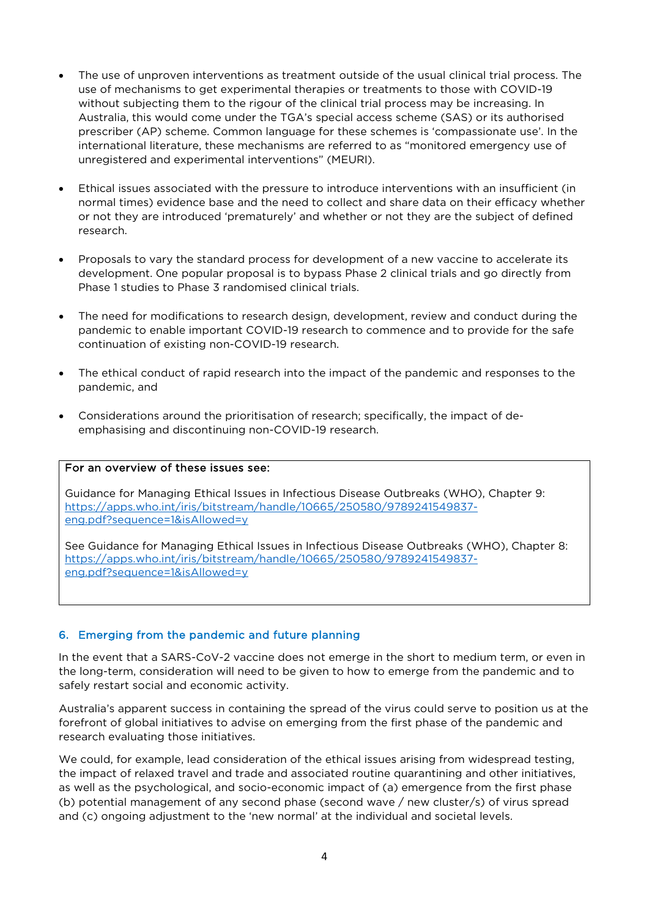- The use of unproven interventions as treatment outside of the usual clinical trial process. The use of mechanisms to get experimental therapies or treatments to those with COVID-19 without subjecting them to the rigour of the clinical trial process may be increasing. In Australia, this would come under the TGA's special access scheme (SAS) or its authorised prescriber (AP) scheme. Common language for these schemes is 'compassionate use'. In the international literature, these mechanisms are referred to as "monitored emergency use of unregistered and experimental interventions" (MEURI).
- Ethical issues associated with the pressure to introduce interventions with an insufficient (in normal times) evidence base and the need to collect and share data on their efficacy whether or not they are introduced 'prematurely' and whether or not they are the subject of defined research.
- Proposals to vary the standard process for development of a new vaccine to accelerate its development. One popular proposal is to bypass Phase 2 clinical trials and go directly from Phase 1 studies to Phase 3 randomised clinical trials.
- The need for modifications to research design, development, review and conduct during the pandemic to enable important COVID-19 research to commence and to provide for the safe continuation of existing non-COVID-19 research.
- The ethical conduct of rapid research into the impact of the pandemic and responses to the pandemic, and
- Considerations around the prioritisation of research; specifically, the impact of deemphasising and discontinuing non-COVID-19 research.

#### For an overview of these issues see:

Guidance for Managing Ethical Issues in Infectious Disease Outbreaks (WHO), Chapter 9: [https://apps.who.int/iris/bitstream/handle/10665/250580/9789241549837](https://apps.who.int/iris/bitstream/handle/10665/250580/9789241549837-eng.pdf?sequence=1&isAllowed=y) [eng.pdf?sequence=1&isAllowed=y](https://apps.who.int/iris/bitstream/handle/10665/250580/9789241549837-eng.pdf?sequence=1&isAllowed=y)

See Guidance for Managing Ethical Issues in Infectious Disease Outbreaks (WHO), Chapter 8: [https://apps.who.int/iris/bitstream/handle/10665/250580/9789241549837](https://apps.who.int/iris/bitstream/handle/10665/250580/9789241549837-eng.pdf?sequence=1&isAllowed=y) [eng.pdf?sequence=1&isAllowed=y](https://apps.who.int/iris/bitstream/handle/10665/250580/9789241549837-eng.pdf?sequence=1&isAllowed=y)

#### 6. Emerging from the pandemic and future planning

In the event that a SARS-CoV-2 vaccine does not emerge in the short to medium term, or even in the long-term, consideration will need to be given to how to emerge from the pandemic and to safely restart social and economic activity.

Australia's apparent success in containing the spread of the virus could serve to position us at the forefront of global initiatives to advise on emerging from the first phase of the pandemic and research evaluating those initiatives.

We could, for example, lead consideration of the ethical issues arising from widespread testing, the impact of relaxed travel and trade and associated routine quarantining and other initiatives, as well as the psychological, and socio-economic impact of (a) emergence from the first phase (b) potential management of any second phase (second wave / new cluster/s) of virus spread and (c) ongoing adjustment to the 'new normal' at the individual and societal levels.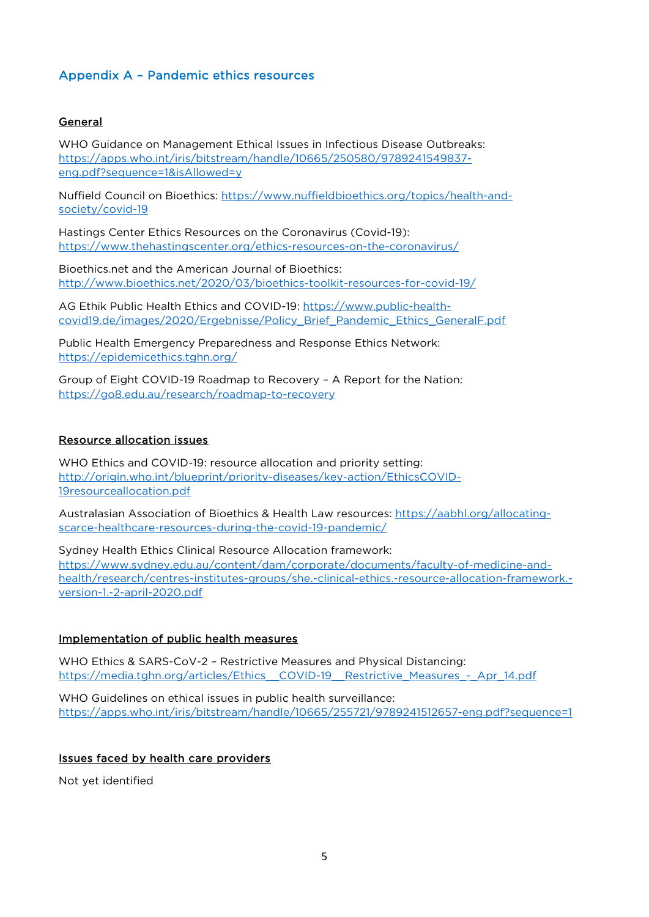### Appendix A – Pandemic ethics resources

#### General

WHO Guidance on Management Ethical Issues in Infectious Disease Outbreaks: [https://apps.who.int/iris/bitstream/handle/10665/250580/9789241549837](https://apps.who.int/iris/bitstream/handle/10665/250580/9789241549837-eng.pdf?sequence=1&isAllowed=y) [eng.pdf?sequence=1&isAllowed=y](https://apps.who.int/iris/bitstream/handle/10665/250580/9789241549837-eng.pdf?sequence=1&isAllowed=y)

Nuffield Council on Bioethics: [https://www.nuffieldbioethics.org/topics/health-and](https://www.nuffieldbioethics.org/topics/health-and-society/covid-19)[society/covid-19](https://www.nuffieldbioethics.org/topics/health-and-society/covid-19)

Hastings Center Ethics Resources on the Coronavirus (Covid-19): <https://www.thehastingscenter.org/ethics-resources-on-the-coronavirus/>

Bioethics.net and the American Journal of Bioethics: <http://www.bioethics.net/2020/03/bioethics-toolkit-resources-for-covid-19/>

AG Ethik Public Health Ethics and COVID-19: [https://www.public-health](https://www.public-health-covid19.de/images/2020/Ergebnisse/Policy_Brief_Pandemic_Ethics_GeneralF.pdf)[covid19.de/images/2020/Ergebnisse/Policy\\_Brief\\_Pandemic\\_Ethics\\_GeneralF.pdf](https://www.public-health-covid19.de/images/2020/Ergebnisse/Policy_Brief_Pandemic_Ethics_GeneralF.pdf)

Public Health Emergency Preparedness and Response Ethics Network: <https://epidemicethics.tghn.org/>

Group of Eight COVID-19 Roadmap to Recovery – A Report for the Nation: <https://go8.edu.au/research/roadmap-to-recovery>

#### Resource allocation issues

WHO Ethics and COVID-19: resource allocation and priority setting: [http://origin.who.int/blueprint/priority-diseases/key-action/EthicsCOVID-](http://origin.who.int/blueprint/priority-diseases/key-action/EthicsCOVID-19resourceallocation.pdf)[19resourceallocation.pdf](http://origin.who.int/blueprint/priority-diseases/key-action/EthicsCOVID-19resourceallocation.pdf)

Australasian Association of Bioethics & Health Law resources: [https://aabhl.org/allocating](https://aabhl.org/allocating-scarce-healthcare-resources-during-the-covid-19-pandemic/)[scarce-healthcare-resources-during-the-covid-19-pandemic/](https://aabhl.org/allocating-scarce-healthcare-resources-during-the-covid-19-pandemic/)

Sydney Health Ethics Clinical Resource Allocation framework: [https://www.sydney.edu.au/content/dam/corporate/documents/faculty-of-medicine-and](https://www.sydney.edu.au/content/dam/corporate/documents/faculty-of-medicine-and-health/research/centres-institutes-groups/she.-clinical-ethics.-resource-allocation-framework.-version-1.-2-april-2020.pdf)[health/research/centres-institutes-groups/she.-clinical-ethics.-resource-allocation-framework.](https://www.sydney.edu.au/content/dam/corporate/documents/faculty-of-medicine-and-health/research/centres-institutes-groups/she.-clinical-ethics.-resource-allocation-framework.-version-1.-2-april-2020.pdf) [version-1.-2-april-2020.pdf](https://www.sydney.edu.au/content/dam/corporate/documents/faculty-of-medicine-and-health/research/centres-institutes-groups/she.-clinical-ethics.-resource-allocation-framework.-version-1.-2-april-2020.pdf)

#### Implementation of public health measures

WHO Ethics & SARS-CoV-2 – Restrictive Measures and Physical Distancing: [https://media.tghn.org/articles/Ethics\\_\\_COVID-19\\_\\_Restrictive\\_Measures\\_-\\_Apr\\_14.pdf](https://media.tghn.org/articles/Ethics__COVID-19__Restrictive_Measures_-_Apr_14.pdf)

WHO Guidelines on ethical issues in public health surveillance: <https://apps.who.int/iris/bitstream/handle/10665/255721/9789241512657-eng.pdf?sequence=1>

#### Issues faced by health care providers

Not yet identified